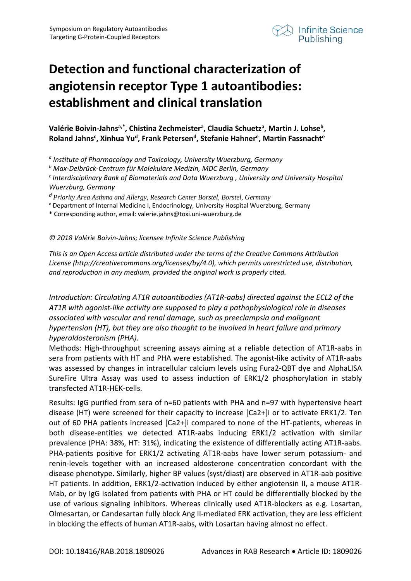

## **Detection and functional characterization of angiotensin receptor Type 1 autoantibodies: establishment and clinical translation**

## Valérie Boivin-Jahns<sup>a,\*</sup>, Chistina Zechmeister<sup>a</sup>, Claudia Schuetz<sup>a</sup>, Martin J. Lohse<sup>b</sup>, Roland Jahns<sup>c</sup>, Xinhua Yu<sup>d</sup>, Frank Petersen<sup>d</sup>, Stefanie Hahner<sup>e</sup>, Martin Fassnacht<sup>e</sup>

*<sup>a</sup> Institute of Pharmacology and Toxicology, University Wuerzburg, Germany* 

*<sup>b</sup> Max-Delbrück-Centrum für Molekulare Medizin, MDC Berlin, Germany*

*<sup>c</sup> Interdisciplinary Bank of Biomaterials and Data Wuerzburg , University and University Hospital Wuerzburg, Germany*

*<sup>d</sup> Priority Area Asthma and Allergy, Research Center Borstel, Borstel, Germany*

<sup>e</sup> Department of Internal Medicine I, Endocrinology, University Hospital Wuerzburg, Germany

\* Corresponding author, email: valerie.jahns@toxi.uni-wuerzburg.de

## *© 2018 Valérie Boivin-Jahns; licensee Infinite Science Publishing*

*This is an Open Access article distributed under the terms of the Creative Commons Attribution License (http://creativecommons.org/licenses/by/4.0), which permits unrestricted use, distribution, and reproduction in any medium, provided the original work is properly cited.*

*Introduction: Circulating AT1R autoantibodies (AT1R-aabs) directed against the ECL2 of the AT1R with agonist-like activity are supposed to play a pathophysiological role in diseases associated with vascular and renal damage, such as preeclampsia and malignant hypertension (HT), but they are also thought to be involved in heart failure and primary hyperaldosteronism (PHA).* 

Methods: High-throughput screening assays aiming at a reliable detection of AT1R-aabs in sera from patients with HT and PHA were established. The agonist-like activity of AT1R-aabs was assessed by changes in intracellular calcium levels using Fura2-QBT dye and AlphaLISA SureFire Ultra Assay was used to assess induction of ERK1/2 phosphorylation in stably transfected AT1R-HEK-cells.

Results: IgG purified from sera of n=60 patients with PHA and n=97 with hypertensive heart disease (HT) were screened for their capacity to increase [Ca2+]i or to activate ERK1/2. Ten out of 60 PHA patients increased [Ca2+]i compared to none of the HT-patients, whereas in both disease-entities we detected AT1R-aabs inducing ERK1/2 activation with similar prevalence (PHA: 38%, HT: 31%), indicating the existence of differentially acting AT1R-aabs. PHA-patients positive for ERK1/2 activating AT1R-aabs have lower serum potassium- and renin-levels together with an increased aldosterone concentration concordant with the disease phenotype. Similarly, higher BP values (syst/diast) are observed in AT1R-aab positive HT patients. In addition, ERK1/2-activation induced by either angiotensin II, a mouse AT1R-Mab, or by IgG isolated from patients with PHA or HT could be differentially blocked by the use of various signaling inhibitors. Whereas clinically used AT1R-blockers as e.g. Losartan, Olmesartan, or Candesartan fully block Ang II-mediated ERK activation, they are less efficient in blocking the effects of human AT1R-aabs, with Losartan having almost no effect.